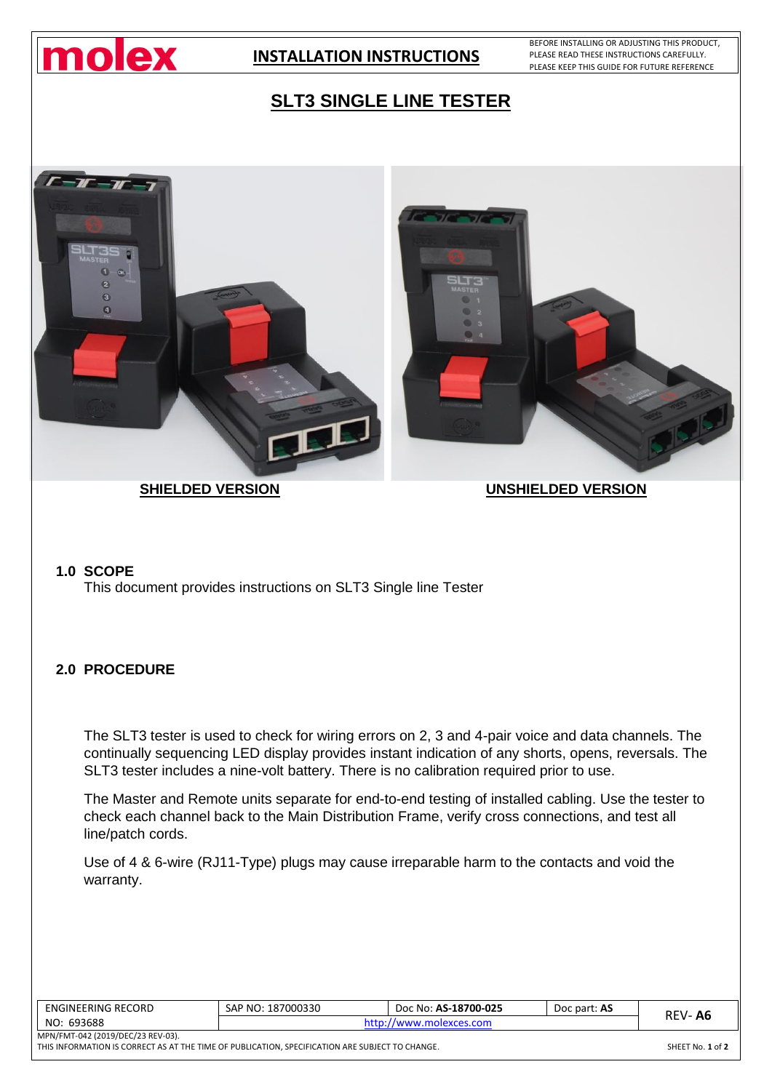

**INSTALLATION INSTRUCTIONS**

BEFORE INSTALLING OR ADJUSTING THIS PRODUCT, PLEASE READ THESE INSTRUCTIONS CAREFULLY. PLEASE KEEP THIS GUIDE FOR FUTURE REFERENCE

## **SLT3 SINGLE LINE TESTER**



**SHIELDED VERSION UNSHIELDED VERSION**

## **1.0 SCOPE**

This document provides instructions on SLT3 Single line Tester

## **2.0 PROCEDURE**

The SLT3 tester is used to check for wiring errors on 2, 3 and 4-pair voice and data channels. The continually sequencing LED display provides instant indication of any shorts, opens, reversals. The SLT3 tester includes a nine-volt battery. There is no calibration required prior to use.

The Master and Remote units separate for end-to-end testing of installed cabling. Use the tester to check each channel back to the Main Distribution Frame, verify cross connections, and test all line/patch cords.

Use of 4 & 6-wire (RJ11-Type) plugs may cause irreparable harm to the contacts and void the warranty.

| ENGINEERING RECORD                                                                              | SAP NO: 187000330       | Doc No: AS-18700-025 | Doc part: AS |        |  |  |  |
|-------------------------------------------------------------------------------------------------|-------------------------|----------------------|--------------|--------|--|--|--|
| NO: 693688                                                                                      | http://www.molexces.com |                      |              | REV-A6 |  |  |  |
| MPN/FMT-042 (2019/DEC/23 REV-03).                                                               |                         |                      |              |        |  |  |  |
| THIS INFORMATION IS CORRECT AS AT THE TIME OF PUBLICATION, SPECIFICATION ARE SUBJECT TO CHANGE. |                         |                      |              |        |  |  |  |